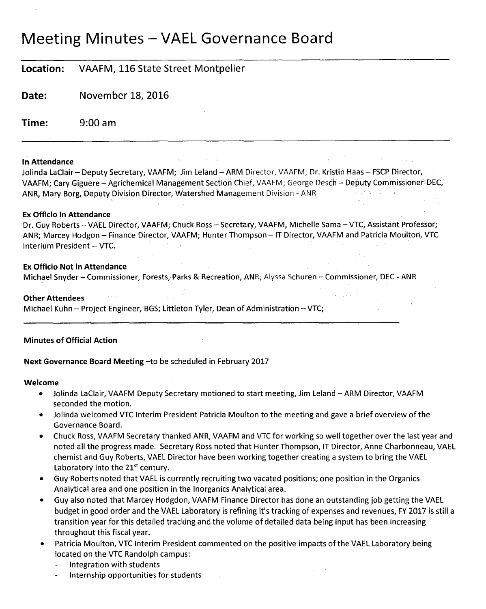# Meeting Minutes — VAEL Governance Board

# **Location:** VAAFM, 116 State Street Montpelier

**Date:** November 18, 2016

**Time:** 9:00 am

## **In Attendance**

Jolinda LaClair — Deputy Secretary, VAAFM; Jim Leland — ARM Director, VAAFM; Dr. Kristin Haas — FSCP Director, VAAFM; Cary Giguere — Agrichemical Management Section Chief, VAAFM; George Desch — Deputy Commissioner-DEC, ANR, Mary Borg, Deputy Division Director, Watershed Management Division - ANR

## **Ex Officio in Attendance**

Dr. Guy Roberts—VAEL Director, VAAFM; Chuck Ross — Secretary, VAAFM, Michelle Sama —VTC, Assistant Professor; ANR; Marcey Hodgon — Finance Director, VAAFM; Hunter Thompson — IT Director, VAAFM and Patricia Moulton, VTC Interium President — VTC.

## **Ex Officio Not in Attendance**

Michael Snyder — Commissioner, Forests, Parks & Recreation, ANR; Alyssa Schuren — Commissioner, DEC - ANR

## **,Other Attendees**

Michael Kuhn — Project Engineer, BGS; Littleton Tyler, Dean of Administration —VTC;

# **Minutes of Official Action**

# **Next Governance Board Meeting** —to be scheduled in February 2017

## **Welcome**

- Jolinda LaClair, VAAFM Deputy Secretary motioned to start meeting, Jim Leland ARM Director, VAAFM seconded the motion.
- Jolinda welcomed VTC Interim President Patricia Moulton to the meeting and gave a brief overview of the Governance Board.
- Chuck Ross, VAAFM Secretary thanked ANR, VAAFM and VTC for working so well together over the last year and noted all the progress made. Secretary Ross noted that Hunter Thompson, IT Director, Anne Charbonneau, VAEL chemist and Guy Roberts, VAEL Director have been working together creating a system to bring the VAEL Laboratory into the  $21^{st}$  century.
- Guy Roberts noted that VAEL is currently recruiting two vacated positions; one position in the Organics Analytical area and one position in the Inorganics Analytical area.
- Guy also noted that Marcey Hodgdon, VAAFM Finance Director has done an outstanding job getting the VAEL budget in good order and the VAEL Laboratory is refining it's tracking of expenses and revenues, FY 2017 is still a transition year for this detailed tracking and the volume of detailed data being input has been increasing throughout this fiscal year.
- Patricia Moulton, VTC Interim President commented on the positive impacts of the VAEL Laboratory being located on the VTC Randolph campus:
	- Integration with students
	- Internship opportunities for students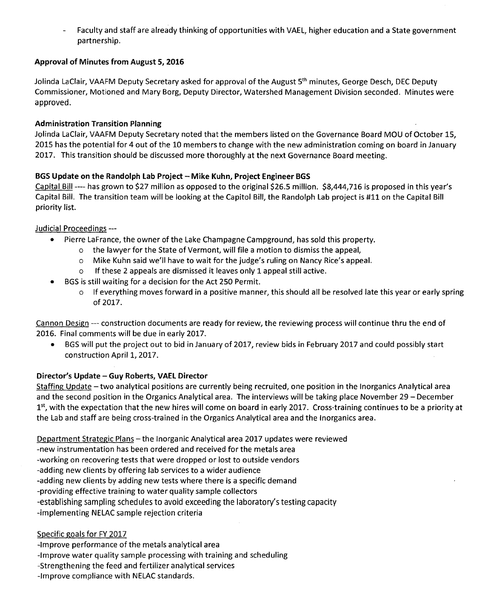- Faculty and staff are already thinking of opportunities with VAEL, higher education and a State government partnership.

# **Approval of Minutes from August 5, 2016**

Jolinda LaClair, VAAFM Deputy Secretary asked for approval of the August 5<sup>th</sup> minutes, George Desch, DEC Deputy Commissioner, Motioned and Mary Borg, Deputy Director, Watershed Management Division seconded. Minutes were approved.

## **Administration Transition Planning**

Jolinda LaClair, VAAFM Deputy Secretary noted that the members listed on the Governance Board MOU of October 15, 2015 has the potential for 4 out of the 10 members to change with the new administration coming on board in January 2017. This transition should be discussed more thoroughly at the next Governance Board meeting.

# **BGS Update on the Randolph Lab Project — Mike Kuhn, Project Engineer BGS**

Capital Bill ---- has grown to \$27 million as opposed to the original \$26.5 million. \$8,444,716 is proposed in this year's Capital Bill. The transition team will be looking at the Capitol Bill, the Randolph Lab project is #11 on the Capital Bill priority list.

## Judicial Proceedings ---

- Pierre LaFrance, the owner of the Lake Champagne Campground, has sold this property.
	- o the lawyer for the State of Vermont, will file a motion to dismiss the appeal,
	- o Mike Kuhn said we'll have to wait for the judge's ruling on Nancy Rice's appeal.
	- o If these 2 appeals are dismissed it leaves only 1 appeal still active.
- BGS is still waiting for a decision for the Act 250 Permit.
	- o If everything moves forward in a positive manner, this should all be resolved late this year or early spring of 2017.

Cannon Design --- construction documents are ready for review, the reviewing process will continue thru the end of 2016. Final comments will be due in early 2017.

• BGS will put the project out to bid in January of 2017, review bids in February 2017 and could possibly start construction April 1, 2017.

# **Director's Update — Guy Roberts, VAEL Director**

Staffing Update – two analytical positions are currently being recruited, one position in the Inorganics Analytical area and the second position in the Organics Analytical area. The interviews will be taking place November 29 — December 1<sup>st</sup>, with the expectation that the new hires will come on board in early 2017. Cross-training continues to be a priority at the Lab and staff are being cross-trained in the Organics Analytical area and the Inorganics area.

Department Strategic Plans — the Inorganic Analytical area 2017 updates were reviewed

-new instrumentation has been ordered and received for the metals area

-working on recovering tests that were dropped or lost to outside vendors

-adding new clients by offering lab services to a wider audience

-adding new clients by adding new tests where there is a specific demand

-providing effective training to water quality sample collectors

-establishing sampling schedules to avoid exceeding the laboratory's testing capacity

-implementing NELAC sample rejection criteria

# Specific goals for FY 2017

-Improve performance of the metals analytical area

-Improve water quality sample processing with training and scheduling

-Strengthening the feed and fertilizer analytical services

-Improve compliance with NELAC standards.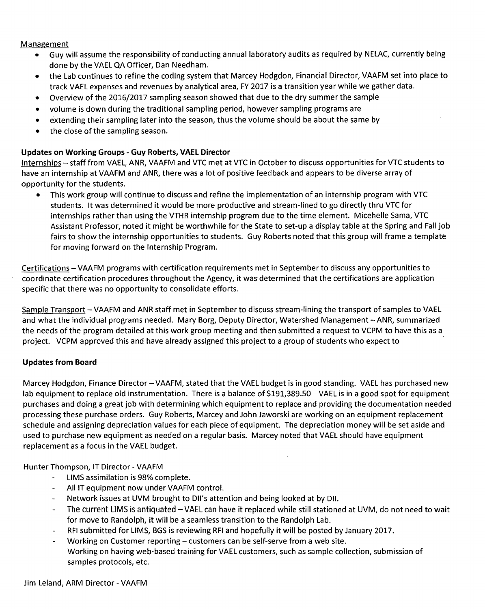## Management

- Guy will assume the responsibility of conducting annual laboratory audits as required by NELAC, currently being done by the VAEL QA Officer, Dan Needham.
- the Lab continues to refine the coding system that Marcey Hodgdon, Financial Director, VAAFM set into place to track VAEL expenses and revenues by analytical area, FY 2017 is a transition year while we gather data.
- Overview of the 2016/2017 sampling season showed that due to the dry summer the sample
- volume is down during the traditional sampling period, however sampling programs are
- extending their sampling later into the season, thus the volume should be about the same by
- the close of the sampling season.

# **Updates on Working Groups - Guy Roberts, VAEL Director**

Internships — staff from VAEL, ANR, VAAFM and VTC met at VTC in October to discuss opportunities for VTC students to have an internship at VAAFM and ANR, there was a lot of positive feedback and appears to be diverse array of opportunity for the students.

• This work group will continue to discuss and refine the implementation of an internship program with VTC students. It was determined it would be more productive and stream-lined to go directly thru VTC for internships rather than using the VTHR internship program due to the time element. Micehelle Sama, VTC Assistant Professor, noted it might be worthwhile for the State to set-up a display table at the Spring and Fall job fairs to show the internship opportunities to students. Guy Roberts noted that this group will frame a template for moving forward on the Internship Program.

Certifications — VAAFM programs with certification requirements met in September to discuss any opportunities to coordinate certification procedures throughout the Agency, it was determined that the certifications are application specific that there was no opportunity to consolidate efforts.

Sample Transport — VAAFM and ANR staff met in September to discuss stream-lining the transport of samples to VAEL and what the individual programs needed. Mary Borg, Deputy Director, Watershed Management — ANR, summarized the needs of the program detailed at this work group meeting and then submitted a request to VCPM to have this as a project. VCPM approved this and have already assigned this project to a group of students who expect to

## **Updates from Board**

Marcey Hodgdon, Finance Director— VAAFM, stated that the VAEL budget is in good standing. VAEL has purchased new lab equipment to replace old instrumentation. There is a balance of \$191,389.50 VAEL is in a good spot for equipment purchases and doing a great job with determining which equipment to replace and providing the documentation needed processing these purchase orders. Guy Roberts, Marcey and John Jaworski are working on an equipment replacement schedule and assigning depreciation values for each piece of equipment. The depreciation money will be set aside and used to purchase new equipment as needed on a regular basis. Marcey noted that VAEL should have equipment replacement as a focus in the VAEL budget.

Hunter Thompson, IT Director - VAAFM

- $\mathbf{L}^{\mathcal{A}}$ LIMS assimilation is 98% complete.
- All IT equipment now under VAAFM control.
- Network issues at UVM brought to DII's attention and being looked at by DII.
- The current LIMS is antiquated —VAEL can have it replaced while still stationed at UVM, do not need to wait for move to Randolph, it will be a seamless transition to the Randolph Lab.
- RFI submitted for LIMS, BGS is reviewing RFI and hopefully it will be posted by January 2017.
- Working on Customer reporting customers can be self-serve from a web site.
- Working on having web-based training for VAEL customers, such as sample collection, submission of samples protocols, etc.